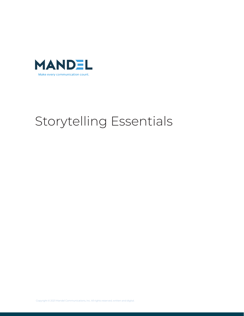

# Storytelling Essentials

Copyright © 2021 Mandel Communications, Inc. All rights reserved, written and digital.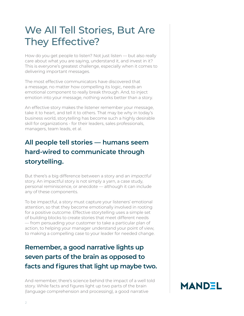# We All Tell Stories, But Are They Effective?

How do you get people to listen? Not just listen — but also really care about what you are saying, understand it, and invest in it? This is everyone's greatest challenge, especially when it comes to delivering important messages.

The most effective communicators have discovered that a message, no matter how compelling its logic, needs an emotional component to really break through. And, to inject emotion into your message, nothing works better than a story.

An effective story makes the listener remember your message, take it to heart, and tell it to others. That may be why in today's business world, storytelling has become such a highly desirable skill for organizations - for their leaders, sales professionals, managers, team leads, et al.

### **All people tell stories — humans seem hard-wired to communicate through storytelling.**

But there's a big difference between a story and an *impactful* story. An impactful story is not simply a yarn, a case study, personal reminiscence, or anecdote — although it can include any of these components.

To be impactful, a story must capture your listeners' emotional attention, so that they become emotionally involved in rooting for a positive outcome. Effective storytelling uses a simple set of building blocks to create stories that meet different needs — from persuading your customer to take a particular plan of action, to helping your manager understand your point of view, to making a compelling case to your leader for needed change.

## **Remember, a good narrative lights up seven parts of the brain as opposed to facts and figures that light up maybe two.**

And remember, there's science behind the impact of a well told story. While facts and figures light up two parts of the brain (language comprehension and processing), a good narrative

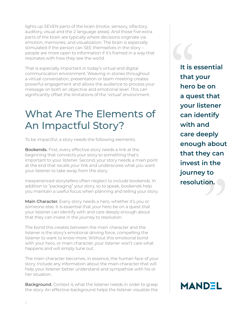lights up SEVEN parts of the brain (motor, sensory, olfactory, auditory, visual and the 2 language areas). And those five extra parts of the brain are typically where decisions originate via emotion, memories, and visualization. The brain is especially stimulated if the person can SEE themselves in the story – people are more open to information if it's framed in a way that resonates with how they see the world.

That is especially important in today's virtual and digital communication environment. Weaving in stories throughout a virtual conversation, presentation or team meeting creates powerful engagement and allows the audience to process your message on both an objective and emotional level. This can significantly offset the limitations of the 'virtual' environment.

# What Are The Elements of An Impactful Story?

To be impactful, a story needs the following elements:

Bookends. First, every effective story needs a link at the beginning that connects your story to something that's important to your listener. Second, your story needs a main point at the end that recalls your link and underscores what you want your listener to take away from the story.

Inexperienced storytellers often neglect to include bookends. In addition to "packaging" your story, so to speak, bookends help you maintain a useful focus when planning and telling your story.

Main Character. Every story needs a hero, whether it's you or someone else. It is essential that your hero be on a quest that your listener can identify with and care deeply enough about that they can invest in the journey to resolution.

The bond this creates between the main character and the listener is the story's emotional driving force, compelling the listener to want to know more. Without this emotional bond with your hero, or main character, your listener won't care what happens and will simply tune out.

The main character becomes, in essence, the human face of your story. Include any information about the main character that will help your listener better understand and sympathize with his or her situation.

**Background.** Context is what the listener needs in order to grasp the story. An effective background helps the listener visualize the

**It is essential that your hero be on a quest that your listener can identify with and care deeply enough about that they can invest in the journey to rhat they can<br>invest in the<br>journey to<br>resolution.** It is<br>
that<br>
herc<br>
a qu

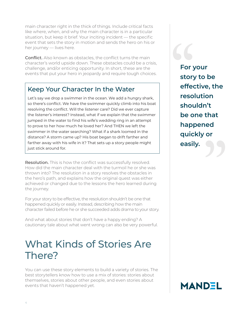main character right in the thick of things. Include critical facts like where, when, and why the main character is in a particular situation, but keep it brief. Your inciting incident — the specific event that sets the story in motion and sends the hero on his or her journey — lives here.

**Conflict.** Also known as obstacles, the conflict turns the main character's world upside down. These obstacles could be a crisis, challenge, and/or enticing opportunity. In short, these are the events that put your hero in jeopardy and require tough choices.

#### Keep Your Character In the Water

Let's say we drop a swimmer in the ocean. We add a hungry shark, so there's conflict. We have the swimmer quickly climb into his boat resolving the conflict. Will the listener care? Did we ever capture the listener's interest? Instead, what if we explain that the swimmer jumped in the water to find his wife's wedding ring in an attempt to prove to her how much he loved her? And THEN we left the swimmer in the water searching? What if a shark loomed in the distance? A storm came up? His boat began to drift farther and farther away with his wife in it? That sets up a story people might just stick around for.

Resolution. This is how the conflict was successfully resolved. How did the main character deal with the turmoil he or she was thrown into? The resolution in a story resolves the obstacles in the hero's path, and explains how the original quest was either achieved or changed due to the lessons the hero learned during the journey.

For your story to be effective, the resolution shouldn't be one that happened quickly or easily. Instead, describing how the main character failed before he or she succeeded adds drama to your story.

And what about stories that don't have a happy ending? A cautionary tale about what went wrong can also be very powerful.

# What Kinds of Stories Are There?

You can use these story elements to build a variety of stories. The best storytellers know how to use a mix of stories: stories about themselves, stories about other people, and even stories about events that haven't happened yet.

**For your story to be effective, the resolution shouldn't be one that happened quickly or be one that<br>happened<br>quickly or<br>easily.** For y<br>
story<br>
effer<br>
reso

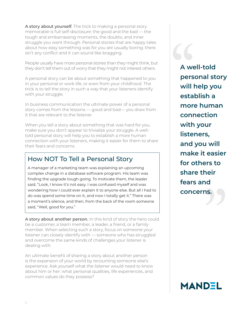A story about yourself. The trick to making a personal story memorable is full self-disclosure: the good and the bad — the tough and embarrassing moments, the doubts, and inner struggle you went through. Personal stories that are happy tales about how easy something was for you are usually boring: there isn't any conflict and it can sound like bragging.

People usually have more personal stories than they might think, but they don't tell them out of worry that they might not interest others.

A personal story can be about something that happened to you in your personal or work life, or even from your childhood. The trick is to tell the story in such a way that your listeners identify with your struggle.

In business communication the ultimate power of a personal story comes from the lessons — good and bad— you draw from it that are relevant to the listener.

When you tell a story about something that was hard for you, make sure you don't appear to trivialize your struggle. A welltold personal story will help you to establish a more human connection with your listeners, making it easier for them to share their fears and concerns.

### How NOT To Tell a Personal Story

A manager of a marketing team was explaining an upcoming complex change in a database software program. His team was finding the upgrade tough going. To motivate them, the leader said, "Look, I know it's not easy. I was confused myself and was wondering how I could ever explain it to anyone else. But all I had to do was spend some time on it, and now I totally get it." There was a moment's silence, and then, from the back of the room someone said, "Well, good for you."

A story about another person. In this kind of story the hero could be a customer, a team member, a leader, a friend, or a family member. When selecting such a story, focus on someone your listener can closely identify with — someone who has struggled and overcome the same kinds of challenges your listener is dealing with.

An ultimate benefit of sharing a story about another person is the expansion of your world by recounting someone else's experience. Ask yourself what the listener would need to know about him or her: what personal qualities, life experiences, and common values do they possess?

**A well-told personal story will help you establish a more human connection with your listeners, and you will make it easier for others to share their fears and concernation**<br>share their<br>fears and<br>concerns. A we<br>pers<br>will<br>esta

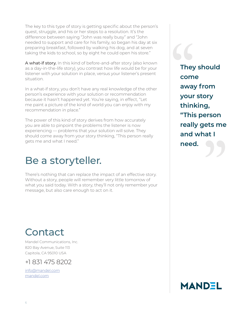The key to this type of story is getting specific about the person's quest, struggle, and his or her steps to a resolution. It's the difference between saying "John was really busy" and "John needed to support and care for his family, so began his day at six preparing breakfast, followed by walking his dog, and at seven taking the kids to school, so by eight he could open his store."

A what-if story. In this kind of before-and-after story (also known as a day-in-the-life story), you contrast how life would be for your listener with your solution in place, versus your listener's present situation.

In a what-if story, you don't have any real knowledge of the other person's experience with your solution or recommendation because it hasn't happened yet. You're saying, in effect, "Let me paint a picture of the kind of world you can enjoy with my recommendation in place."

The power of this kind of story derives from how accurately you are able to pinpoint the problems the listener is now experiencing — problems that your solution will solve. They should come away from your story thinking, "This person really gets me and what I need."

# Be a storyteller.

There's nothing that can replace the impact of an effective story. Without a story, people will remember very little tomorrow of what you said today. With a story, they'll not only remember your message, but also care enough to act on it.

**They should come away from your story thinking, "This person really gets me and what I**  " I nis person<br>really gets me<br>and what I<br>need. They<br>
com<br>
awa<br>
your

# **Contact**

Mandel Communications, Inc. 820 Bay Avenue, Suite 113 Capitola, CA 95010 USA

+1 831 475 8202

info@mandel.com mandel.com